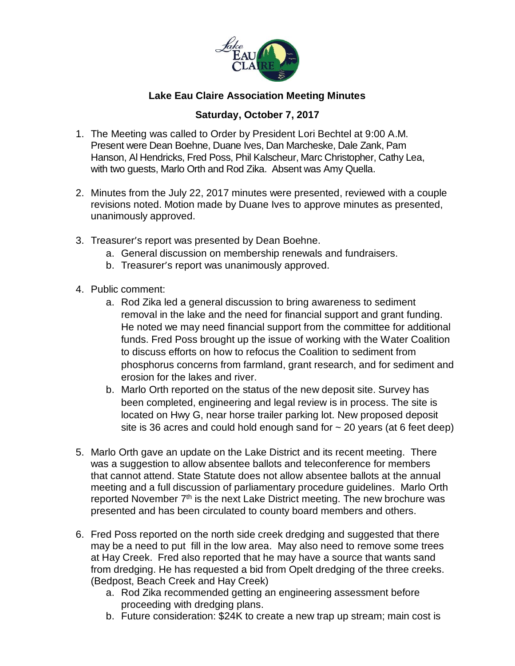

## **Lake Eau Claire Association Meeting Minutes**

## **Saturday, October 7, 2017**

- 1. The Meeting was called to Order by President Lori Bechtel at 9:00 A.M. Present were Dean Boehne, Duane Ives, Dan Marcheske, Dale Zank, Pam Hanson, Al Hendricks, Fred Poss, Phil Kalscheur, Marc Christopher, Cathy Lea, with two guests, Marlo Orth and Rod Zika. Absent was Amy Quella.
- 2. Minutes from the July 22, 2017 minutes were presented, reviewed with a couple revisions noted. Motion made by Duane Ives to approve minutes as presented, unanimously approved.
- 3. Treasurer's report was presented by Dean Boehne.
	- a. General discussion on membership renewals and fundraisers.
	- b. Treasurer's report was unanimously approved.
- 4. Public comment:
	- a. Rod Zika led a general discussion to bring awareness to sediment removal in the lake and the need for financial support and grant funding. He noted we may need financial support from the committee for additional funds. Fred Poss brought up the issue of working with the Water Coalition to discuss efforts on how to refocus the Coalition to sediment from phosphorus concerns from farmland, grant research, and for sediment and erosion for the lakes and river.
	- b. Marlo Orth reported on the status of the new deposit site. Survey has been completed, engineering and legal review is in process. The site is located on Hwy G, near horse trailer parking lot. New proposed deposit site is 36 acres and could hold enough sand for  $\sim$  20 years (at 6 feet deep)
- 5. Marlo Orth gave an update on the Lake District and its recent meeting. There was a suggestion to allow absentee ballots and teleconference for members that cannot attend. State Statute does not allow absentee ballots at the annual meeting and a full discussion of parliamentary procedure guidelines. Marlo Orth reported November 7<sup>th</sup> is the next Lake District meeting. The new brochure was presented and has been circulated to county board members and others.
- 6. Fred Poss reported on the north side creek dredging and suggested that there may be a need to put fill in the low area. May also need to remove some trees at Hay Creek. Fred also reported that he may have a source that wants sand from dredging. He has requested a bid from Opelt dredging of the three creeks. (Bedpost, Beach Creek and Hay Creek)
	- a. Rod Zika recommended getting an engineering assessment before proceeding with dredging plans.
	- b. Future consideration: \$24K to create a new trap up stream; main cost is